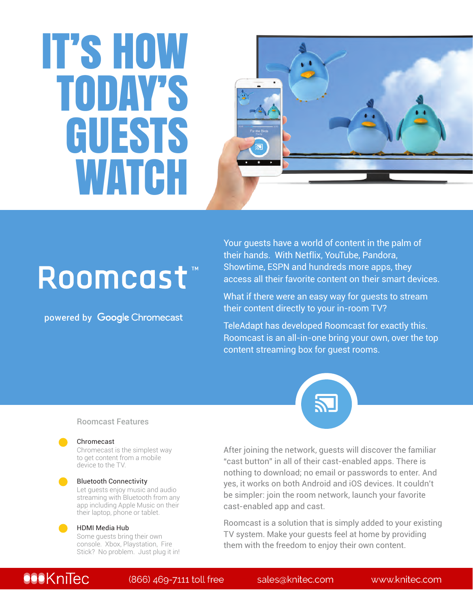# IT's HOW TODAY'S GUESTS WATCH



# Roomcast<sup>®</sup>

powered by Google Chromecast

Your guests have a world of content in the palm of their hands. With Netflix, YouTube, Pandora, Showtime, ESPN and hundreds more apps, they access all their favorite content on their smart devices.

What if there were an easy way for guests to stream their content directly to your in-room TV?

TeleAdapt has developed Roomcast for exactly this. Roomcast is an all-in-one bring your own, over the top content streaming box for guest rooms.



### Roomcast Features

#### Chromecast

Chromecast is the simplest way to get content from a mobile device to the TV.

### Bluetooth Connectivity

Let guests enjoy music and audio streaming with Bluetooth from any app including Apple Music on their their laptop, phone or tablet.

#### HDMI Media Hub

Some guests bring their own console. Xbox, Playstation, Fire Stick? No problem. Just plug it in!

After joining the network, guests will discover the familiar "cast button" in all of their cast-enabled apps. There is nothing to download; no email or passwords to enter. And yes, it works on both Android and iOS devices. It couldn't be simpler: join the room network, launch your favorite cast-enabled app and cast.

Roomcast is a solution that is simply added to your existing TV system. Make your guests feel at home by providing them with the freedom to enjoy their own content.

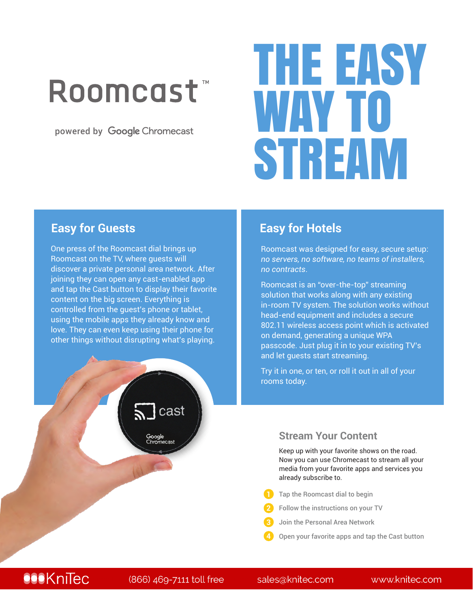# Roomcast<sup>\*</sup>

powered by Google Chromecast

# THE EASY WAY TO STREAM

### **Easy for Guests Easy for Hotels**

One press of the Roomcast dial brings up Roomcast on the TV, where guests will discover a private personal area network. After joining they can open any cast-enabled app and tap the Cast button to display their favorite content on the big screen. Everything is controlled from the guest's phone or tablet, using the mobile apps they already know and love. They can even keep using their phone for other things without disrupting what's playing.

Roomcast was designed for easy, secure setup: *no servers, no software, no teams of installers, no contracts*.

Roomcast is an "over-the-top" streaming solution that works along with any existing in-room TV system. The solution works without head-end equipment and includes a secure 802.11 wireless access point which is activated on demand, generating a unique WPA passcode. Just plug it in to your existing TV's and let guests start streaming.

Try it in one, or ten, or roll it out in all of your rooms today.

### **Stream Your Content**

Keep up with your favorite shows on the road. Now you can use Chromecast to stream all your media from your favorite apps and services you already subscribe to.

- Tap the Roomcast dial to begin
- Follow the instructions on your TV
- Join the Personal Area Network **3**
- Open your favorite apps and tap the Cast button

# **All trademarks of product and company names referred to herein are the property of the property of the property of the property of the property of the property of the property of the property of the Pierre Rights Reserved**

cast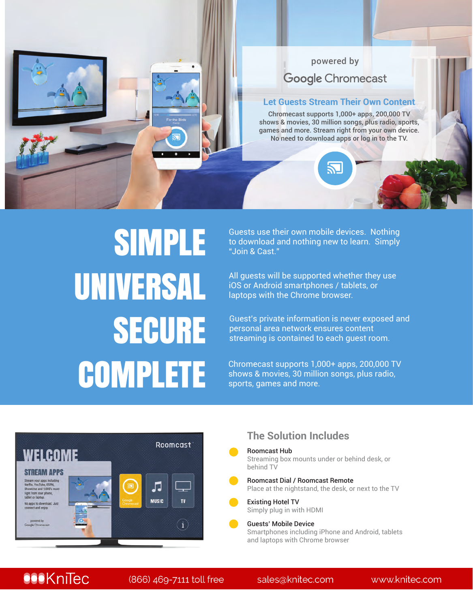

# SIMPLE UNIVERSAL SECURE **COMPLETE**

Guests use their own mobile devices. Nothing to download and nothing new to learn. Simply "Join & Cast."

All guests will be supported whether they use iOS or Android smartphones / tablets, or laptops with the Chrome browser.

Guest's private information is never exposed and personal area network ensures content streaming is contained to each guest room.

Chromecast supports 1,000+ apps, 200,000 TV shows & movies, 30 million songs, plus radio, sports, games and more.



### **The Solution Includes**

- Roomcast Hub Streaming box mounts under or behind desk, or behind TV
- Roomcast Dial / Roomcast Remote Place at the nightstand, the desk, or next to the TV
- Existing Hotel TV Simply plug in with HDMI
- Guests' Mobile Device Smartphones including iPhone and Android, tablets and laptops with Chrome browser

## **TeleAdapter** (866) 469-7111 toll free Sales@knitec.com www.knitec.com